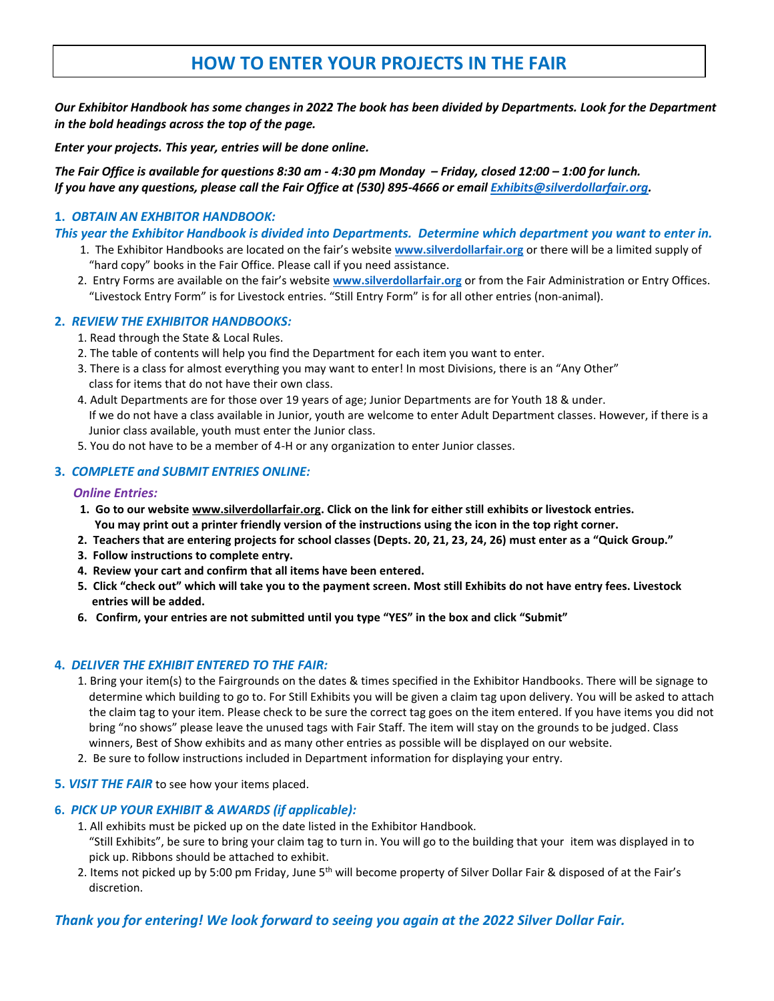# **HOW TO ENTER YOUR PROJECTS IN THE FAIR**

*Our Exhibitor Handbook has some changes in 2022 The book has been divided by Departments. Look for the Department in the bold headings across the top of the page.* 

*Enter your projects. This year, entries will be done online.*

*The Fair Office is available for questions 8:30 am - 4:30 pm Monday – Friday, closed 12:00 – 1:00 for lunch. If you have any questions, please call the Fair Office at (530) 895-4666 or email [Exhibits@silverdollarfair.org.](mailto:Exhibits@silverdollarfair.org)*

## **1.** *OBTAIN AN EXHBITOR HANDBOOK:*

*This year the Exhibitor Handbook is divided into Departments. Determine which department you want to enter in.*

- 1. The Exhibitor Handbooks are located on the fair's website **[www.silverdollarfair.org](http://www.silverdollarfair.org/)** or there will be a limited supply of "hard copy" books in the Fair Office. Please call if you need assistance.
- 2. Entry Forms are available on the fair's website **[www.silverdollarfair.org](http://www.silverdollarfair.org/)** or from the Fair Administration or Entry Offices. "Livestock Entry Form" is for Livestock entries. "Still Entry Form" is for all other entries (non-animal).

## **2.** *REVIEW THE EXHIBITOR HANDBOOKS:*

- 1. Read through the State & Local Rules.
- 2. The table of contents will help you find the Department for each item you want to enter.
- 3. There is a class for almost everything you may want to enter! In most Divisions, there is an "Any Other" class for items that do not have their own class.
- 4. Adult Departments are for those over 19 years of age; Junior Departments are for Youth 18 & under. If we do not have a class available in Junior, youth are welcome to enter Adult Department classes. However, if there is a Junior class available, youth must enter the Junior class.
- 5. You do not have to be a member of 4-H or any organization to enter Junior classes.

# **3.** *COMPLETE and SUBMIT ENTRIES ONLINE:*

#### *Online Entries:*

- **1. Go to our website [www.silverdollarfair.org.](http://www.silverdollarfair.org/) Click on the link for either still exhibits or livestock entries. You may print out a printer friendly version of the instructions using the icon in the top right corner.**
- **2. Teachers that are entering projects for school classes (Depts. 20, 21, 23, 24, 26) must enter as a "Quick Group."**
- **3. Follow instructions to complete entry.**
- **4. Review your cart and confirm that all items have been entered.**
- **5. Click "check out" which will take you to the payment screen. Most still Exhibits do not have entry fees. Livestock entries will be added.**
- **6. Confirm, your entries are not submitted until you type "YES" in the box and click "Submit"**

#### **4.** *DELIVER THE EXHIBIT ENTERED TO THE FAIR:*

- 1. Bring your item(s) to the Fairgrounds on the dates & times specified in the Exhibitor Handbooks. There will be signage to determine which building to go to. For Still Exhibits you will be given a claim tag upon delivery. You will be asked to attach the claim tag to your item. Please check to be sure the correct tag goes on the item entered. If you have items you did not bring "no shows" please leave the unused tags with Fair Staff. The item will stay on the grounds to be judged. Class winners, Best of Show exhibits and as many other entries as possible will be displayed on our website.
- 2. Be sure to follow instructions included in Department information for displaying your entry.
- **5.** *VISIT THE FAIR* to see how your items placed.

#### **6.** *PICK UP YOUR EXHIBIT & AWARDS (if applicable):*

- 1. All exhibits must be picked up on the date listed in the Exhibitor Handbook. "Still Exhibits", be sure to bring your claim tag to turn in. You will go to the building that your item was displayed in to pick up. Ribbons should be attached to exhibit.
- 2. Items not picked up by 5:00 pm Friday, June 5<sup>th</sup> will become property of Silver Dollar Fair & disposed of at the Fair's discretion.

# *Thank you for entering! We look forward to seeing you again at the 2022 Silver Dollar Fair.*